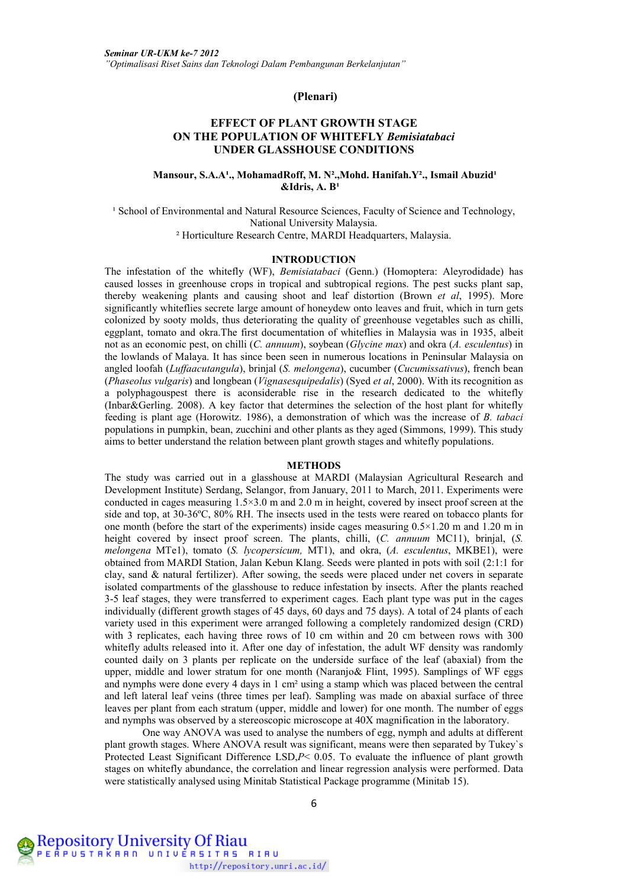## **(Plenari)**

# **EFFECT OF PLANT GROWTH STAGE ON THE POPULATION OF WHITEFLY** *Bemisiatabaci* **UNDER GLASSHOUSE CONDITIONS**

## Mansour, S.A.A<sup>1</sup>., MohamadRoff, M. N<sup>2</sup>., Mohd. Hanifah.Y<sup>2</sup>., Ismail Abuzid<sup>1</sup> **&Idris, A. B**<sup>1</sup>

<sup>1</sup> School of Environmental and Natural Resource Sciences, Faculty of Science and Technology, National University Malaysia. ² Horticulture Research Centre, MARDI Headquarters, Malaysia.

### **INTRODUCTION**

The infestation of the whitefly (WF), *Bemisiatabaci* (Genn.) (Homoptera: Aleyrodidade) has caused losses in greenhouse crops in tropical and subtropical regions. The pest sucks plant sap, thereby weakening plants and causing shoot and leaf distortion (Brown *et al*, 1995). More significantly whiteflies secrete large amount of honeydew onto leaves and fruit, which in turn gets colonized by sooty molds, thus deteriorating the quality of greenhouse vegetables such as chilli, eggplant, tomato and okra.The first documentation of whiteflies in Malaysia was in 1935, albeit not as an economic pest, on chilli (*C. annuum*), soybean (*Glycine max*) and okra (*A. esculentus*) in the lowlands of Malaya. It has since been seen in numerous locations in Peninsular Malaysia on angled loofah (*Luffaacutangula*), brinjal (*S. melongena*), cucumber (*Cucumissativus*), french bean (*Phaseolus vulgaris*) and longbean (*Vignasesquipedalis*) (Syed *et al*, 2000). With its recognition as a polyphagouspest there is aconsiderable rise in the research dedicated to the whitefly (Inbar&Gerling. 2008). A key factor that determines the selection of the host plant for whitefly feeding is plant age (Horowitz. 1986), a demonstration of which was the increase of *B. tabaci* populations in pumpkin, bean, zucchini and other plants as they aged (Simmons, 1999). This study aims to better understand the relation between plant growth stages and whitefly populations.

#### **METHODS**

The study was carried out in a glasshouse at MARDI (Malaysian Agricultural Research and Development Institute) Serdang, Selangor, from January, 2011 to March, 2011. Experiments were conducted in cages measuring 1.5×3.0 m and 2.0 m in height, covered by insect proof screen at the side and top, at 30-36ºC, 80% RH. The insects used in the tests were reared on tobacco plants for one month (before the start of the experiments) inside cages measuring  $0.5 \times 1.20$  m and 1.20 m in height covered by insect proof screen. The plants, chilli, (*C. annuum* MC11), brinjal, (*S. melongena* MTe1), tomato (*S. lycopersicum,* MT1), and okra, (*A. esculentus*, MKBE1), were obtained from MARDI Station, Jalan Kebun Klang. Seeds were planted in pots with soil (2:1:1 for clay, sand & natural fertilizer). After sowing, the seeds were placed under net covers in separate isolated compartments of the glasshouse to reduce infestation by insects. After the plants reached 3-5 leaf stages, they were transferred to experiment cages. Each plant type was put in the cages individually (different growth stages of 45 days, 60 days and 75 days). A total of 24 plants of each variety used in this experiment were arranged following a completely randomized design (CRD) with 3 replicates, each having three rows of 10 cm within and 20 cm between rows with 300 whitefly adults released into it. After one day of infestation, the adult WF density was randomly counted daily on 3 plants per replicate on the underside surface of the leaf (abaxial) from the upper, middle and lower stratum for one month (Naranjo& Flint, 1995). Samplings of WF eggs and nymphs were done every 4 days in 1 cm² using a stamp which was placed between the central and left lateral leaf veins (three times per leaf). Sampling was made on abaxial surface of three leaves per plant from each stratum (upper, middle and lower) for one month. The number of eggs and nymphs was observed by a stereoscopic microscope at 40X magnification in the laboratory.

One way ANOVA was used to analyse the numbers of egg, nymph and adults at different plant growth stages. Where ANOVA result was significant, means were then separated by Tukey`s Protected Least Significant Difference LSD, $P$ < 0.05. To evaluate the influence of plant growth stages on whitefly abundance, the correlation and linear regression analysis were performed. Data were statistically analysed using Minitab Statistical Package programme (Minitab 15).

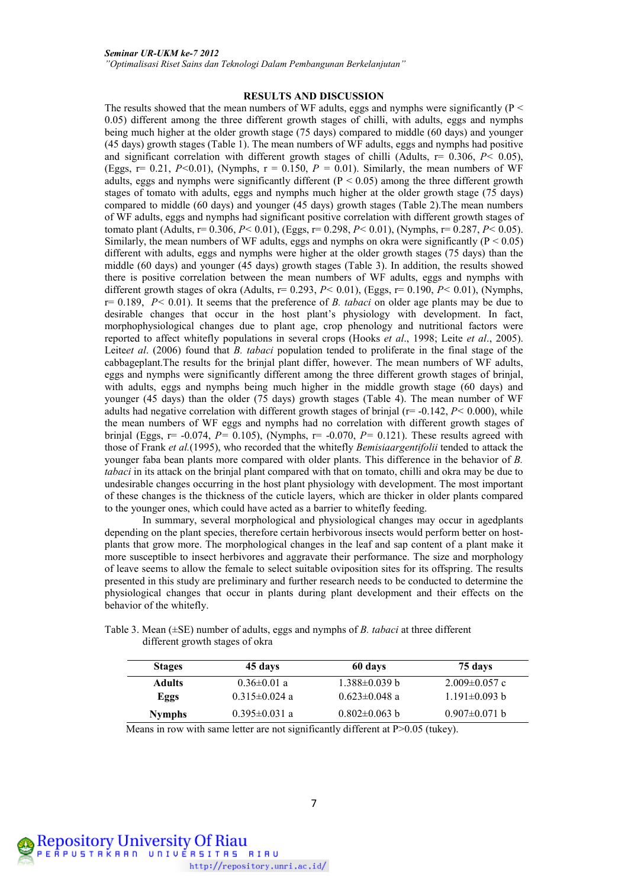*"Optimalisasi Riset Sains dan Teknologi Dalam Pembangunan Berkelanjutan"*

#### **RESULTS AND DISCUSSION**

The results showed that the mean numbers of WF adults, eggs and nymphs were significantly ( $P \leq$ 0.05) different among the three different growth stages of chilli, with adults, eggs and nymphs being much higher at the older growth stage (75 days) compared to middle (60 days) and younger (45 days) growth stages (Table 1). The mean numbers of WF adults, eggs and nymphs had positive and significant correlation with different growth stages of chilli (Adults, r= 0.306, *P<* 0.05), (Eggs,  $r= 0.21$ ,  $P<0.01$ ), (Nymphs,  $r = 0.150$ ,  $P = 0.01$ ). Similarly, the mean numbers of WF adults, eggs and nymphs were significantly different  $(P < 0.05)$  among the three different growth stages of tomato with adults, eggs and nymphs much higher at the older growth stage (75 days) compared to middle (60 days) and younger (45 days) growth stages (Table 2).The mean numbers of WF adults, eggs and nymphs had significant positive correlation with different growth stages of tomato plant (Adults, r= 0.306, *P<* 0.01), (Eggs, r= 0.298, *P<* 0.01), (Nymphs, r= 0.287, *P<* 0.05). Similarly, the mean numbers of WF adults, eggs and nymphs on okra were significantly ( $P < 0.05$ ) different with adults, eggs and nymphs were higher at the older growth stages (75 days) than the middle (60 days) and younger (45 days) growth stages (Table 3). In addition, the results showed there is positive correlation between the mean numbers of WF adults, eggs and nymphs with different growth stages of okra (Adults, r= 0.293, *P<* 0.01), (Eggs, r= 0.190, *P<* 0.01), (Nymphs, r= 0.189, *P<* 0.01). It seems that the preference of *B. tabaci* on older age plants may be due to desirable changes that occur in the host plant's physiology with development. In fact, morphophysiological changes due to plant age, crop phenology and nutritional factors were reported to affect whitefly populations in several crops (Hooks *et al*., 1998; Leite *et al*., 2005). Leite*et al*. (2006) found that *B. tabaci* population tended to proliferate in the final stage of the cabbageplant.The results for the brinjal plant differ, however. The mean numbers of WF adults, eggs and nymphs were significantly different among the three different growth stages of brinjal, with adults, eggs and nymphs being much higher in the middle growth stage (60 days) and younger (45 days) than the older (75 days) growth stages (Table 4). The mean number of WF adults had negative correlation with different growth stages of brinjal (r= -0.142, *P<* 0.000), while the mean numbers of WF eggs and nymphs had no correlation with different growth stages of brinjal (Eggs,  $r=$  -0.074,  $P=$  0.105), (Nymphs,  $r=$  -0.070,  $P=$  0.121). These results agreed with those of Frank *et al.*(1995), who recorded that the whitefly *Bemisiaargentifolii* tended to attack the younger faba bean plants more compared with older plants. This difference in the behavior of *B. tabaci* in its attack on the brinjal plant compared with that on tomato, chilli and okra may be due to undesirable changes occurring in the host plant physiology with development. The most important of these changes is the thickness of the cuticle layers, which are thicker in older plants compared to the younger ones, which could have acted as a barrier to whitefly feeding.

In summary, several morphological and physiological changes may occur in agedplants depending on the plant species, therefore certain herbivorous insects would perform better on hostplants that grow more. The morphological changes in the leaf and sap content of a plant make it more susceptible to insect herbivores and aggravate their performance. The size and morphology of leave seems to allow the female to select suitable oviposition sites for its offspring. The results presented in this study are preliminary and further research needs to be conducted to determine the physiological changes that occur in plants during plant development and their effects on the behavior of the whitefly.

Table 3. Mean (±SE) number of adults, eggs and nymphs of *B. tabaci* at three different different growth stages of okra

| <b>Stages</b> | 45 days             | 60 days             | 75 days             |
|---------------|---------------------|---------------------|---------------------|
| <b>Adults</b> | $0.36 \pm 0.01$ a   | $1.388\pm0.039$ b   | $2.009 \pm 0.057$ c |
| Eggs          | $0.315 \pm 0.024$ a | $0.623 \pm 0.048$ a | $1.191 \pm 0.093$ b |
| <b>Nymphs</b> | $0.395 \pm 0.031$ a | $0.802 \pm 0.063$ b | $0.907 \pm 0.071$ b |

Means in row with same letter are not significantly different at P>0.05 (tukey).